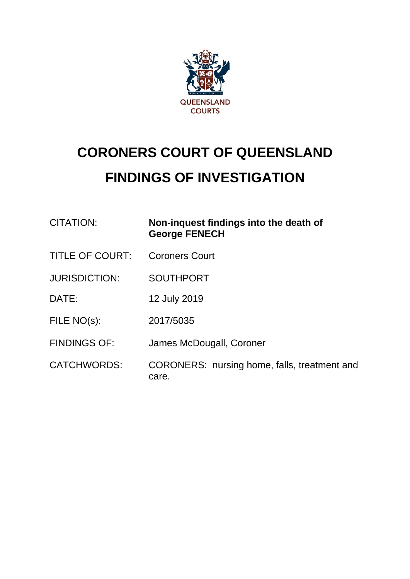

# **CORONERS COURT OF QUEENSLAND FINDINGS OF INVESTIGATION**

| CITATION:              | Non-inquest findings into the death of<br><b>George FENECH</b> |
|------------------------|----------------------------------------------------------------|
| <b>TITLE OF COURT:</b> | <b>Coroners Court</b>                                          |
| <b>JURISDICTION:</b>   | <b>SOUTHPORT</b>                                               |
| DATE:                  | 12 July 2019                                                   |
| FILE NO(s):            | 2017/5035                                                      |
| <b>FINDINGS OF:</b>    | James McDougall, Coroner                                       |
| <b>CATCHWORDS:</b>     | CORONERS: nursing home, falls, treatment and                   |

care.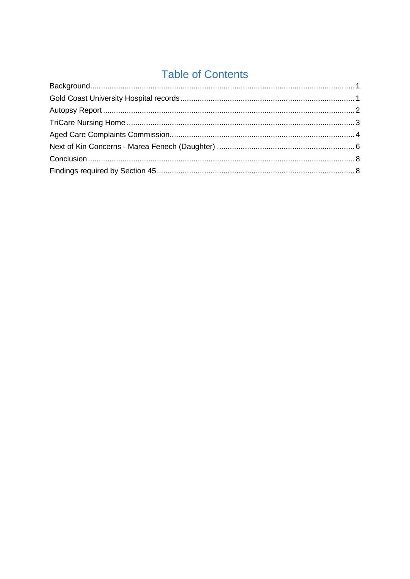## **Table of Contents**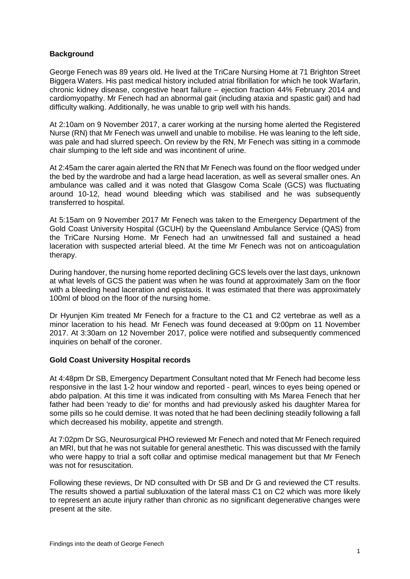### <span id="page-2-0"></span>**Background**

George Fenech was 89 years old. He lived at the TriCare Nursing Home at 71 Brighton Street Biggera Waters. His past medical history included atrial fibrillation for which he took Warfarin, chronic kidney disease, congestive heart failure – ejection fraction 44% February 2014 and cardiomyopathy. Mr Fenech had an abnormal gait (including ataxia and spastic gait) and had difficulty walking. Additionally, he was unable to grip well with his hands.

At 2:10am on 9 November 2017, a carer working at the nursing home alerted the Registered Nurse (RN) that Mr Fenech was unwell and unable to mobilise. He was leaning to the left side, was pale and had slurred speech. On review by the RN, Mr Fenech was sitting in a commode chair slumping to the left side and was incontinent of urine.

At 2:45am the carer again alerted the RN that Mr Fenech was found on the floor wedged under the bed by the wardrobe and had a large head laceration, as well as several smaller ones. An ambulance was called and it was noted that Glasgow Coma Scale (GCS) was fluctuating around 10-12, head wound bleeding which was stabilised and he was subsequently transferred to hospital.

At 5:15am on 9 November 2017 Mr Fenech was taken to the Emergency Department of the Gold Coast University Hospital (GCUH) by the Queensland Ambulance Service (QAS) from the TriCare Nursing Home. Mr Fenech had an unwitnessed fall and sustained a head laceration with suspected arterial bleed. At the time Mr Fenech was not on anticoagulation therapy.

During handover, the nursing home reported declining GCS levels over the last days, unknown at what levels of GCS the patient was when he was found at approximately 3am on the floor with a bleeding head laceration and epistaxis. It was estimated that there was approximately 100ml of blood on the floor of the nursing home.

Dr Hyunjen Kim treated Mr Fenech for a fracture to the C1 and C2 vertebrae as well as a minor laceration to his head. Mr Fenech was found deceased at 9:00pm on 11 November 2017. At 3:30am on 12 November 2017, police were notified and subsequently commenced inquiries on behalf of the coroner.

#### <span id="page-2-1"></span>**Gold Coast University Hospital records**

At 4:48pm Dr SB, Emergency Department Consultant noted that Mr Fenech had become less responsive in the last 1-2 hour window and reported - pearl, winces to eyes being opened or abdo palpation. At this time it was indicated from consulting with Ms Marea Fenech that her father had been 'ready to die' for months and had previously asked his daughter Marea for some pills so he could demise. It was noted that he had been declining steadily following a fall which decreased his mobility, appetite and strength.

At 7:02pm Dr SG, Neurosurgical PHO reviewed Mr Fenech and noted that Mr Fenech required an MRI, but that he was not suitable for general anesthetic. This was discussed with the family who were happy to trial a soft collar and optimise medical management but that Mr Fenech was not for resuscitation.

Following these reviews, Dr ND consulted with Dr SB and Dr G and reviewed the CT results. The results showed a partial subluxation of the lateral mass C1 on C2 which was more likely to represent an acute injury rather than chronic as no significant degenerative changes were present at the site.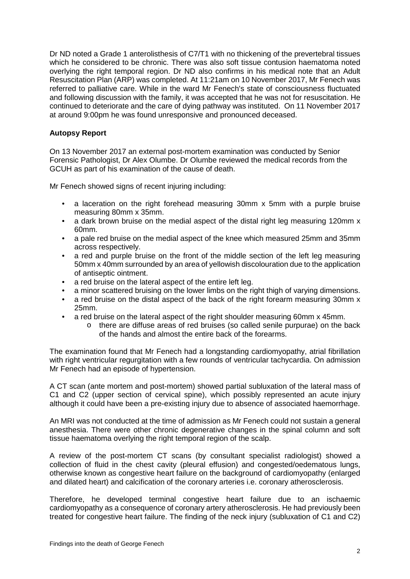Dr ND noted a Grade 1 anterolisthesis of C7/T1 with no thickening of the prevertebral tissues which he considered to be chronic. There was also soft tissue contusion haematoma noted overlying the right temporal region. Dr ND also confirms in his medical note that an Adult Resuscitation Plan (ARP) was completed. At 11:21am on 10 November 2017, Mr Fenech was referred to palliative care. While in the ward Mr Fenech's state of consciousness fluctuated and following discussion with the family, it was accepted that he was not for resuscitation. He continued to deteriorate and the care of dying pathway was instituted. On 11 November 2017 at around 9:00pm he was found unresponsive and pronounced deceased.

#### <span id="page-3-0"></span>**Autopsy Report**

On 13 November 2017 an external post-mortem examination was conducted by Senior Forensic Pathologist, Dr Alex Olumbe. Dr Olumbe reviewed the medical records from the GCUH as part of his examination of the cause of death.

Mr Fenech showed signs of recent injuring including:

- a laceration on the right forehead measuring 30mm x 5mm with a purple bruise measuring 80mm x 35mm.
- a dark brown bruise on the medial aspect of the distal right leg measuring 120mm x 60mm.
- a pale red bruise on the medial aspect of the knee which measured 25mm and 35mm across respectively.
- a red and purple bruise on the front of the middle section of the left leg measuring 50mm x 40mm surrounded by an area of yellowish discolouration due to the application of antiseptic ointment.
- a red bruise on the lateral aspect of the entire left leg.
- a minor scattered bruising on the lower limbs on the right thigh of varying dimensions.
- a red bruise on the distal aspect of the back of the right forearm measuring 30mm x 25mm.
- a red bruise on the lateral aspect of the right shoulder measuring 60mm x 45mm.
	- o there are diffuse areas of red bruises (so called senile purpurae) on the back of the hands and almost the entire back of the forearms.

The examination found that Mr Fenech had a longstanding cardiomyopathy, atrial fibrillation with right ventricular regurgitation with a few rounds of ventricular tachycardia. On admission Mr Fenech had an episode of hypertension.

A CT scan (ante mortem and post-mortem) showed partial subluxation of the lateral mass of C1 and C2 (upper section of cervical spine), which possibly represented an acute injury although it could have been a pre-existing injury due to absence of associated haemorrhage.

An MRI was not conducted at the time of admission as Mr Fenech could not sustain a general anesthesia. There were other chronic degenerative changes in the spinal column and soft tissue haematoma overlying the right temporal region of the scalp.

A review of the post-mortem CT scans (by consultant specialist radiologist) showed a collection of fluid in the chest cavity (pleural effusion) and congested/oedematous lungs, otherwise known as congestive heart failure on the background of cardiomyopathy (enlarged and dilated heart) and calcification of the coronary arteries i.e. coronary atherosclerosis.

Therefore, he developed terminal congestive heart failure due to an ischaemic cardiomyopathy as a consequence of coronary artery atherosclerosis. He had previously been treated for congestive heart failure. The finding of the neck injury (subluxation of C1 and C2)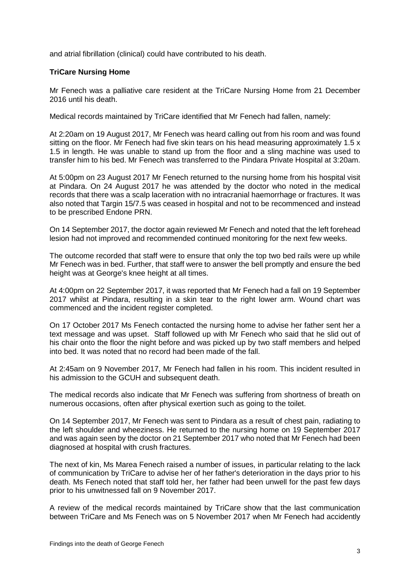<span id="page-4-0"></span>and atrial fibrillation (clinical) could have contributed to his death.

#### **TriCare Nursing Home**

Mr Fenech was a palliative care resident at the TriCare Nursing Home from 21 December 2016 until his death.

Medical records maintained by TriCare identified that Mr Fenech had fallen, namely:

At 2:20am on 19 August 2017, Mr Fenech was heard calling out from his room and was found sitting on the floor. Mr Fenech had five skin tears on his head measuring approximately 1.5 x 1.5 in length. He was unable to stand up from the floor and a sling machine was used to transfer him to his bed. Mr Fenech was transferred to the Pindara Private Hospital at 3:20am.

At 5:00pm on 23 August 2017 Mr Fenech returned to the nursing home from his hospital visit at Pindara. On 24 August 2017 he was attended by the doctor who noted in the medical records that there was a scalp laceration with no intracranial haemorrhage or fractures. It was also noted that Targin 15/7.5 was ceased in hospital and not to be recommenced and instead to be prescribed Endone PRN.

On 14 September 2017, the doctor again reviewed Mr Fenech and noted that the left forehead lesion had not improved and recommended continued monitoring for the next few weeks.

The outcome recorded that staff were to ensure that only the top two bed rails were up while Mr Fenech was in bed. Further, that staff were to answer the bell promptly and ensure the bed height was at George's knee height at all times.

At 4:00pm on 22 September 2017, it was reported that Mr Fenech had a fall on 19 September 2017 whilst at Pindara, resulting in a skin tear to the right lower arm. Wound chart was commenced and the incident register completed.

On 17 October 2017 Ms Fenech contacted the nursing home to advise her father sent her a text message and was upset. Staff followed up with Mr Fenech who said that he slid out of his chair onto the floor the night before and was picked up by two staff members and helped into bed. It was noted that no record had been made of the fall.

At 2:45am on 9 November 2017, Mr Fenech had fallen in his room. This incident resulted in his admission to the GCUH and subsequent death.

The medical records also indicate that Mr Fenech was suffering from shortness of breath on numerous occasions, often after physical exertion such as going to the toilet.

On 14 September 2017, Mr Fenech was sent to Pindara as a result of chest pain, radiating to the left shoulder and wheeziness. He returned to the nursing home on 19 September 2017 and was again seen by the doctor on 21 September 2017 who noted that Mr Fenech had been diagnosed at hospital with crush fractures.

The next of kin, Ms Marea Fenech raised a number of issues, in particular relating to the lack of communication by TriCare to advise her of her father's deterioration in the days prior to his death. Ms Fenech noted that staff told her, her father had been unwell for the past few days prior to his unwitnessed fall on 9 November 2017.

A review of the medical records maintained by TriCare show that the last communication between TriCare and Ms Fenech was on 5 November 2017 when Mr Fenech had accidently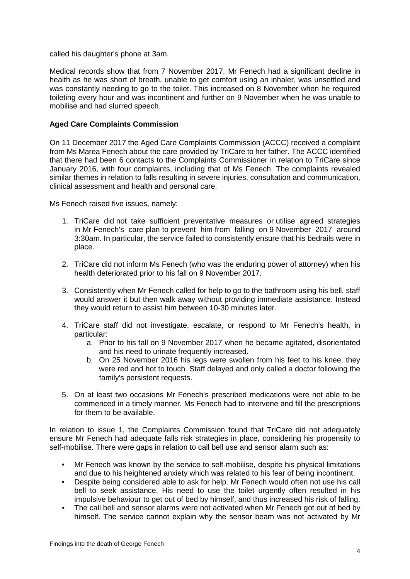called his daughter's phone at 3am.

Medical records show that from 7 November 2017, Mr Fenech had a significant decline in health as he was short of breath, unable to get comfort using an inhaler, was unsettled and was constantly needing to go to the toilet. This increased on 8 November when he required toileting every hour and was incontinent and further on 9 November when he was unable to mobilise and had slurred speech.

#### <span id="page-5-0"></span>**Aged Care Complaints Commission**

On 11 December 2017 the Aged Care Complaints Commission (ACCC) received a complaint from Ms Marea Fenech about the care provided by TriCare to her father. The ACCC identified that there had been 6 contacts to the Complaints Commissioner in relation to TriCare since January 2016, with four complaints, including that of Ms Fenech. The complaints revealed similar themes in relation to falls resulting in severe injuries, consultation and communication, clinical assessment and health and personal care.

Ms Fenech raised five issues, namely:

- 1. TriCare did not take sufficient preventative measures or utilise agreed strategies in Mr Fenech's care plan to prevent him from falling on 9 November 2017 around 3:30am. In particular, the service failed to consistently ensure that his bedrails were in place.
- 2. TriCare did not inform Ms Fenech (who was the enduring power of attorney) when his health deteriorated prior to his fall on 9 November 2017.
- 3. Consistently when Mr Fenech called for help to go to the bathroom using his bell, staff would answer it but then walk away without providing immediate assistance. Instead they would return to assist him between 10-30 minutes later.
- 4. TriCare staff did not investigate, escalate, or respond to Mr Fenech's health, in particular:
	- a. Prior to his fall on 9 November 2017 when he became agitated, disorientated and his need to urinate frequently increased.
	- b. On 25 November 2016 his legs were swollen from his feet to his knee, they were red and hot to touch. Staff delayed and only called a doctor following the family's persistent requests.
- 5. On at least two occasions Mr Fenech's prescribed medications were not able to be commenced in a timely manner. Ms Fenech had to intervene and fill the prescriptions for them to be available.

In relation to issue 1, the Complaints Commission found that TriCare did not adequately ensure Mr Fenech had adequate falls risk strategies in place, considering his propensity to self-mobilise. There were gaps in relation to call bell use and sensor alarm such as:

- Mr Fenech was known by the service to self-mobilise, despite his physical limitations and due to his heightened anxiety which was related to his fear of being incontinent.
- Despite being considered able to ask for help. Mr Fenech would often not use his call bell to seek assistance. His need to use the toilet urgently often resulted in his impulsive behaviour to get out of bed by himself, and thus increased his risk of falling.
- The call bell and sensor alarms were not activated when Mr Fenech got out of bed by himself. The service cannot explain why the sensor beam was not activated by Mr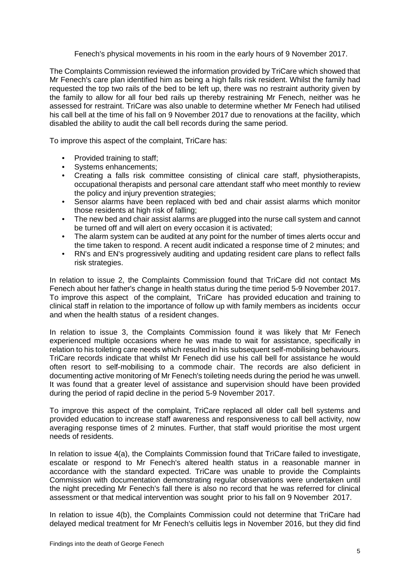Fenech's physical movements in his room in the early hours of 9 November 2017.

The Complaints Commission reviewed the information provided by TriCare which showed that Mr Fenech's care plan identified him as being a high falls risk resident. Whilst the family had requested the top two rails of the bed to be left up, there was no restraint authority given by the family to allow for all four bed rails up thereby restraining Mr Fenech, neither was he assessed for restraint. TriCare was also unable to determine whether Mr Fenech had utilised his call bell at the time of his fall on 9 November 2017 due to renovations at the facility, which disabled the ability to audit the call bell records during the same period.

To improve this aspect of the complaint, TriCare has:

- Provided training to staff;
- Systems enhancements;
- Creating a falls risk committee consisting of clinical care staff, physiotherapists, occupational therapists and personal care attendant staff who meet monthly to review the policy and injury prevention strategies:
- Sensor alarms have been replaced with bed and chair assist alarms which monitor those residents at high risk of falling;
- The new bed and chair assist alarms are plugged into the nurse call system and cannot be turned off and will alert on every occasion it is activated;
- The alarm system can be audited at any point for the number of times alerts occur and the time taken to respond. A recent audit indicated a response time of 2 minutes; and
- RN's and EN's progressively auditing and updating resident care plans to reflect falls risk strategies.

In relation to issue 2, the Complaints Commission found that TriCare did not contact Ms Fenech about her father's change in health status during the time period 5-9 November 2017. To improve this aspect of the complaint, TriCare has provided education and training to clinical staff in relation to the importance of follow up with family members as incidents occur and when the health status of a resident changes.

In relation to issue 3, the Complaints Commission found it was likely that Mr Fenech experienced multiple occasions where he was made to wait for assistance, specifically in relation to his toileting care needs which resulted in his subsequent self-mobilising behaviours. TriCare records indicate that whilst Mr Fenech did use his call bell for assistance he would often resort to self-mobilising to a commode chair. The records are also deficient in documenting active monitoring of Mr Fenech's toileting needs during the period he was unwell. It was found that a greater level of assistance and supervision should have been provided during the period of rapid decline in the period 5-9 November 2017.

To improve this aspect of the complaint, TriCare replaced all older call bell systems and provided education to increase staff awareness and responsiveness to call bell activity, now averaging response times of 2 minutes. Further, that staff would prioritise the most urgent needs of residents.

In relation to issue 4(a), the Complaints Commission found that TriCare failed to investigate, escalate or respond to Mr Fenech's altered health status in a reasonable manner in accordance with the standard expected. TriCare was unable to provide the Complaints Commission with documentation demonstrating regular observations were undertaken until the night preceding Mr Fenech's fall there is also no record that he was referred for clinical assessment or that medical intervention was sought prior to his fall on 9 November 2017.

In relation to issue 4(b), the Complaints Commission could not determine that TriCare had delayed medical treatment for Mr Fenech's celluitis legs in November 2016, but they did find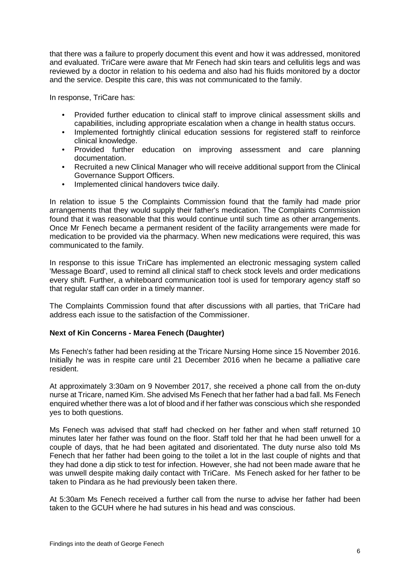that there was a failure to properly document this event and how it was addressed, monitored and evaluated. TriCare were aware that Mr Fenech had skin tears and cellulitis legs and was reviewed by a doctor in relation to his oedema and also had his fluids monitored by a doctor and the service. Despite this care, this was not communicated to the family.

In response, TriCare has:

- Provided further education to clinical staff to improve clinical assessment skills and capabilities, including appropriate escalation when a change in health status occurs.
- Implemented fortnightly clinical education sessions for registered staff to reinforce clinical knowledge.
- Provided further education on improving assessment and care planning documentation.
- Recruited a new Clinical Manager who will receive additional support from the Clinical Governance Support Officers.
- Implemented clinical handovers twice daily.

In relation to issue 5 the Complaints Commission found that the family had made prior arrangements that they would supply their father's medication. The Complaints Commission found that it was reasonable that this would continue until such time as other arrangements. Once Mr Fenech became a permanent resident of the facility arrangements were made for medication to be provided via the pharmacy. When new medications were required, this was communicated to the family.

In response to this issue TriCare has implemented an electronic messaging system called 'Message Board', used to remind all clinical staff to check stock levels and order medications every shift. Further, a whiteboard communication tool is used for temporary agency staff so that regular staff can order in a timely manner.

The Complaints Commission found that after discussions with all parties, that TriCare had address each issue to the satisfaction of the Commissioner.

#### <span id="page-7-0"></span>**Next of Kin Concerns - Marea Fenech (Daughter)**

Ms Fenech's father had been residing at the Tricare Nursing Home since 15 November 2016. Initially he was in respite care until 21 December 2016 when he became a palliative care resident.

At approximately 3:30am on 9 November 2017, she received a phone call from the on-duty nurse at Tricare, named Kim. She advised Ms Fenech that her father had a bad fall. Ms Fenech enquired whether there was a lot of blood and if her father was conscious which she responded yes to both questions.

Ms Fenech was advised that staff had checked on her father and when staff returned 10 minutes later her father was found on the floor. Staff told her that he had been unwell for a couple of days, that he had been agitated and disorientated. The duty nurse also told Ms Fenech that her father had been going to the toilet a lot in the last couple of nights and that they had done a dip stick to test for infection. However, she had not been made aware that he was unwell despite making daily contact with TriCare. Ms Fenech asked for her father to be taken to Pindara as he had previously been taken there.

At 5:30am Ms Fenech received a further call from the nurse to advise her father had been taken to the GCUH where he had sutures in his head and was conscious.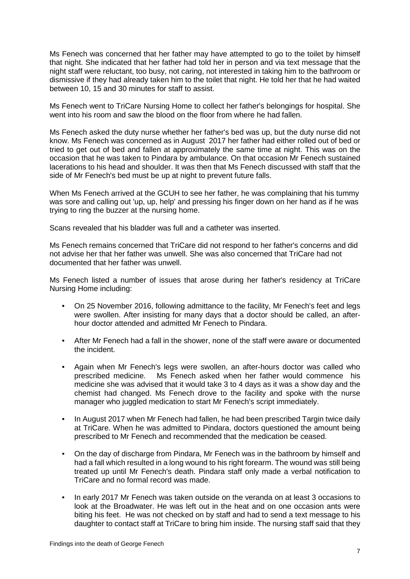Ms Fenech was concerned that her father may have attempted to go to the toilet by himself that night. She indicated that her father had told her in person and via text message that the night staff were reluctant, too busy, not caring, not interested in taking him to the bathroom or dismissive if they had already taken him to the toilet that night. He told her that he had waited between 10, 15 and 30 minutes for staff to assist.

Ms Fenech went to TriCare Nursing Home to collect her father's belongings for hospital. She went into his room and saw the blood on the floor from where he had fallen.

Ms Fenech asked the duty nurse whether her father's bed was up, but the duty nurse did not know. Ms Fenech was concerned as in August 2017 her father had either rolled out of bed or tried to get out of bed and fallen at approximately the same time at night. This was on the occasion that he was taken to Pindara by ambulance. On that occasion Mr Fenech sustained lacerations to his head and shoulder. It was then that Ms Fenech discussed with staff that the side of Mr Fenech's bed must be up at night to prevent future falls.

When Ms Fenech arrived at the GCUH to see her father, he was complaining that his tummy was sore and calling out 'up, up, help' and pressing his finger down on her hand as if he was trying to ring the buzzer at the nursing home.

Scans revealed that his bladder was full and a catheter was inserted.

Ms Fenech remains concerned that TriCare did not respond to her father's concerns and did not advise her that her father was unwell. She was also concerned that TriCare had not documented that her father was unwell.

Ms Fenech listed a number of issues that arose during her father's residency at TriCare Nursing Home including:

- On 25 November 2016, following admittance to the facility, Mr Fenech's feet and legs were swollen. After insisting for many days that a doctor should be called, an afterhour doctor attended and admitted Mr Fenech to Pindara.
- After Mr Fenech had a fall in the shower, none of the staff were aware or documented the incident.
- Again when Mr Fenech's legs were swollen, an after-hours doctor was called who prescribed medicine. Ms Fenech asked when her father would commence his medicine she was advised that it would take 3 to 4 days as it was a show day and the chemist had changed. Ms Fenech drove to the facility and spoke with the nurse manager who juggled medication to start Mr Fenech's script immediately.
- In August 2017 when Mr Fenech had fallen, he had been prescribed Targin twice daily at TriCare. When he was admitted to Pindara, doctors questioned the amount being prescribed to Mr Fenech and recommended that the medication be ceased.
- On the day of discharge from Pindara, Mr Fenech was in the bathroom by himself and had a fall which resulted in a long wound to his right forearm. The wound was still being treated up until Mr Fenech's death. Pindara staff only made a verbal notification to TriCare and no formal record was made.
- In early 2017 Mr Fenech was taken outside on the veranda on at least 3 occasions to look at the Broadwater. He was left out in the heat and on one occasion ants were biting his feet. He was not checked on by staff and had to send a text message to his daughter to contact staff at TriCare to bring him inside. The nursing staff said that they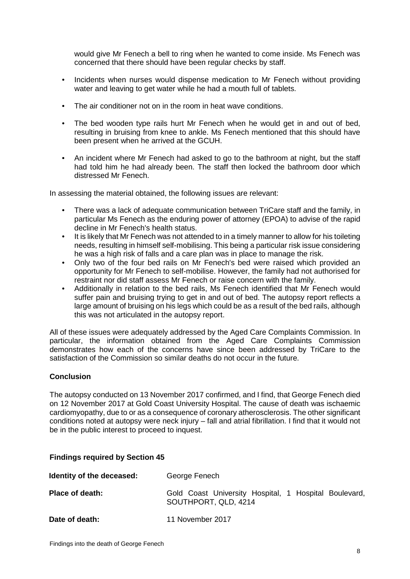would give Mr Fenech a bell to ring when he wanted to come inside. Ms Fenech was concerned that there should have been regular checks by staff.

- Incidents when nurses would dispense medication to Mr Fenech without providing water and leaving to get water while he had a mouth full of tablets.
- The air conditioner not on in the room in heat wave conditions.
- The bed wooden type rails hurt Mr Fenech when he would get in and out of bed, resulting in bruising from knee to ankle. Ms Fenech mentioned that this should have been present when he arrived at the GCUH.
- An incident where Mr Fenech had asked to go to the bathroom at night, but the staff had told him he had already been. The staff then locked the bathroom door which distressed Mr Fenech.

In assessing the material obtained, the following issues are relevant:

- There was a lack of adequate communication between TriCare staff and the family, in particular Ms Fenech as the enduring power of attorney (EPOA) to advise of the rapid decline in Mr Fenech's health status.
- It is likely that Mr Fenech was not attended to in a timely manner to allow for his toileting needs, resulting in himself self-mobilising. This being a particular risk issue considering he was a high risk of falls and a care plan was in place to manage the risk.
- Only two of the four bed rails on Mr Fenech's bed were raised which provided an opportunity for Mr Fenech to self-mobilise. However, the family had not authorised for restraint nor did staff assess Mr Fenech or raise concern with the family.
- Additionally in relation to the bed rails, Ms Fenech identified that Mr Fenech would suffer pain and bruising trying to get in and out of bed. The autopsy report reflects a large amount of bruising on his legs which could be as a result of the bed rails, although this was not articulated in the autopsy report.

All of these issues were adequately addressed by the Aged Care Complaints Commission. In particular, the information obtained from the Aged Care Complaints Commission demonstrates how each of the concerns have since been addressed by TriCare to the satisfaction of the Commission so similar deaths do not occur in the future.

#### <span id="page-9-0"></span>**Conclusion**

The autopsy conducted on 13 November 2017 confirmed, and I find, that George Fenech died on 12 November 2017 at Gold Coast University Hospital. The cause of death was ischaemic cardiomyopathy, due to or as a consequence of coronary atherosclerosis. The other significant conditions noted at autopsy were neck injury – fall and atrial fibrillation. I find that it would not be in the public interest to proceed to inquest.

#### <span id="page-9-1"></span>**Findings required by Section 45**

| Identity of the deceased: | George Fenech                                                                 |
|---------------------------|-------------------------------------------------------------------------------|
| Place of death:           | Gold Coast University Hospital, 1 Hospital Boulevard,<br>SOUTHPORT, QLD, 4214 |
| Date of death:            | 11 November 2017                                                              |